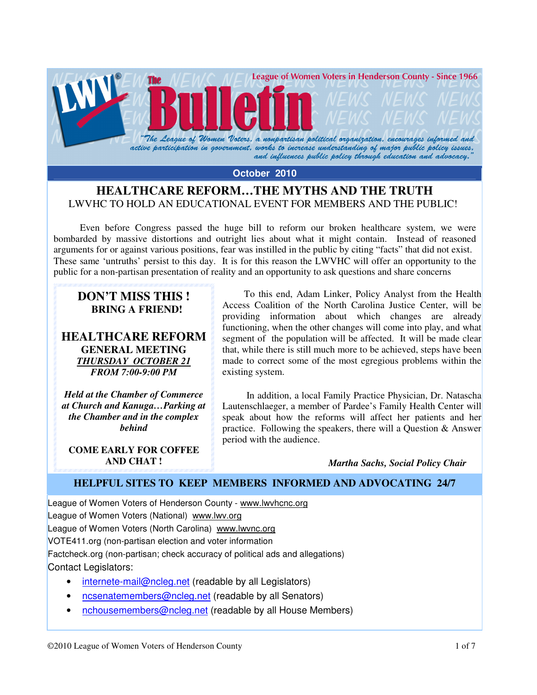

**October 2010** 

## **HEALTHCARE REFORM…THE MYTHS AND THE TRUTH**  LWVHC TO HOLD AN EDUCATIONAL EVENT FOR MEMBERS AND THE PUBLIC!

 Even before Congress passed the huge bill to reform our broken healthcare system, we were bombarded by massive distortions and outright lies about what it might contain. Instead of reasoned arguments for or against various positions, fear was instilled in the public by citing "facts" that did not exist. These same 'untruths' persist to this day. It is for this reason the LWVHC will offer an opportunity to the public for a non-partisan presentation of reality and an opportunity to ask questions and share concerns

## **DON'T MISS THIS ! BRING A FRIEND!**

**HEALTHCARE REFORM GENERAL MEETING**  *THURSDAY OCTOBER 21 FROM 7:00-9:00 PM* 

*Held at the Chamber of Commerce at Church and Kanuga…Parking at the Chamber and in the complex behind* 

**COME EARLY FOR COFFEE AND CHAT !** 

 To this end, Adam Linker, Policy Analyst from the Health Access Coalition of the North Carolina Justice Center, will be providing information about which changes are already functioning, when the other changes will come into play, and what segment of the population will be affected. It will be made clear that, while there is still much more to be achieved, steps have been made to correct some of the most egregious problems within the existing system.

 In addition, a local Family Practice Physician, Dr. Natascha Lautenschlaeger, a member of Pardee's Family Health Center will speak about how the reforms will affect her patients and her practice. Following the speakers, there will a Question & Answer period with the audience.

*Martha Sachs, Social Policy Chair* 

## **HELPFUL SITES TO KEEP MEMBERS INFORMED AND ADVOCATING 24/7**

League of Women Voters of Henderson County - www.lwvhcnc.org League of Women Voters (National) www.lwv.org League of Women Voters (North Carolina) www.lwvnc.org VOTE411.org (non-partisan election and voter information Factcheck.org (non-partisan; check accuracy of political ads and allegations) Contact Legislators:

- internete-mail@ncleg.net (readable by all Legislators)
- ncsenatemembers@ncleg.net (readable by all Senators)
- nchousemembers@ncleg.net (readable by all House Members)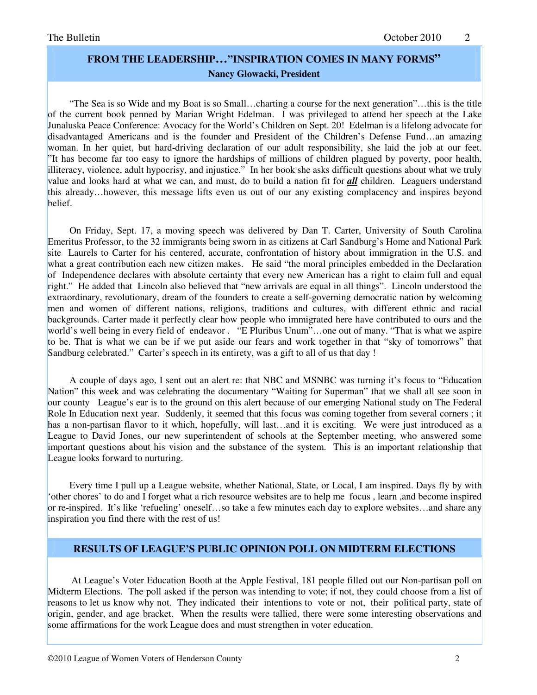# **FROM THE LEADERSHIP…"INSPIRATION COMES IN MANY FORMS" Nancy Glowacki, President**

 "The Sea is so Wide and my Boat is so Small…charting a course for the next generation"…this is the title of the current book penned by Marian Wright Edelman. I was privileged to attend her speech at the Lake Junaluska Peace Conference: Avocacy for the World's Children on Sept. 20! Edelman is a lifelong advocate for disadvantaged Americans and is the founder and President of the Children's Defense Fund…an amazing woman. In her quiet, but hard-driving declaration of our adult responsibility, she laid the job at our feet. "It has become far too easy to ignore the hardships of millions of children plagued by poverty, poor health, illiteracy, violence, adult hypocrisy, and injustice." In her book she asks difficult questions about what we truly value and looks hard at what we can, and must, do to build a nation fit for *all* children. Leaguers understand this already…however, this message lifts even us out of our any existing complacency and inspires beyond belief.

 On Friday, Sept. 17, a moving speech was delivered by Dan T. Carter, University of South Carolina Emeritus Professor, to the 32 immigrants being sworn in as citizens at Carl Sandburg's Home and National Park site Laurels to Carter for his centered, accurate, confrontation of history about immigration in the U.S. and what a great contribution each new citizen makes. He said "the moral principles embedded in the Declaration of Independence declares with absolute certainty that every new American has a right to claim full and equal right." He added that Lincoln also believed that "new arrivals are equal in all things". Lincoln understood the extraordinary, revolutionary, dream of the founders to create a self-governing democratic nation by welcoming men and women of different nations, religions, traditions and cultures, with different ethnic and racial backgrounds. Carter made it perfectly clear how people who immigrated here have contributed to ours and the world's well being in every field of endeavor. "E Pluribus Unum"...one out of many. "That is what we aspire to be. That is what we can be if we put aside our fears and work together in that "sky of tomorrows" that Sandburg celebrated." Carter's speech in its entirety, was a gift to all of us that day !

 A couple of days ago, I sent out an alert re: that NBC and MSNBC was turning it's focus to "Education Nation" this week and was celebrating the documentary "Waiting for Superman" that we shall all see soon in our county League's ear is to the ground on this alert because of our emerging National study on The Federal Role In Education next year. Suddenly, it seemed that this focus was coming together from several corners ; it has a non-partisan flavor to it which, hopefully, will last...and it is exciting. We were just introduced as a League to David Jones, our new superintendent of schools at the September meeting, who answered some important questions about his vision and the substance of the system. This is an important relationship that League looks forward to nurturing.

 Every time I pull up a League website, whether National, State, or Local, I am inspired. Days fly by with 'other chores' to do and I forget what a rich resource websites are to help me focus , learn ,and become inspired or re-inspired. It's like 'refueling' oneself…so take a few minutes each day to explore websites…and share any inspiration you find there with the rest of us!

### **RESULTS OF LEAGUE'S PUBLIC OPINION POLL ON MIDTERM ELECTIONS**

 At League's Voter Education Booth at the Apple Festival, 181 people filled out our Non-partisan poll on Midterm Elections. The poll asked if the person was intending to vote; if not, they could choose from a list of reasons to let us know why not. They indicated their intentions to vote or not, their political party, state of origin, gender, and age bracket. When the results were tallied, there were some interesting observations and some affirmations for the work League does and must strengthen in voter education.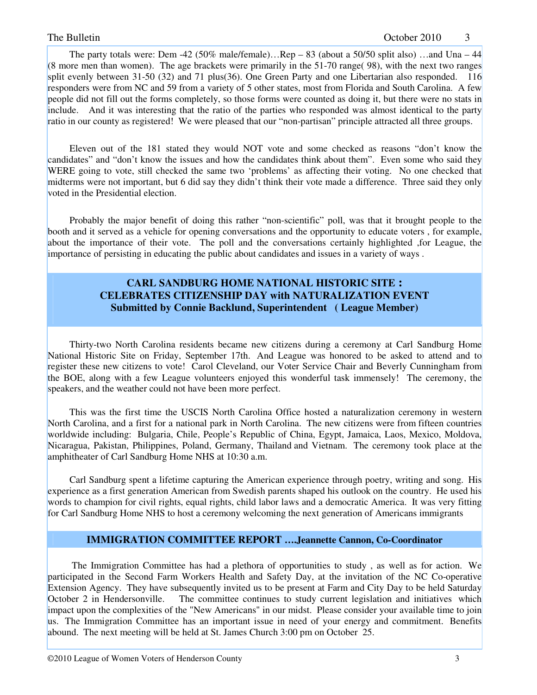The party totals were: Dem -42 (50% male/female)…Rep – 83 (about a 50/50 split also) …and Una – 44 (8 more men than women). The age brackets were primarily in the 51-70 range( 98), with the next two ranges split evenly between 31-50 (32) and 71 plus(36). One Green Party and one Libertarian also responded. 116 responders were from NC and 59 from a variety of 5 other states, most from Florida and South Carolina. A few people did not fill out the forms completely, so those forms were counted as doing it, but there were no stats in include. And it was interesting that the ratio of the parties who responded was almost identical to the party ratio in our county as registered! We were pleased that our "non-partisan" principle attracted all three groups.

 Eleven out of the 181 stated they would NOT vote and some checked as reasons "don't know the candidates" and "don't know the issues and how the candidates think about them". Even some who said they WERE going to vote, still checked the same two 'problems' as affecting their voting. No one checked that midterms were not important, but 6 did say they didn't think their vote made a difference. Three said they only voted in the Presidential election.

 Probably the major benefit of doing this rather "non-scientific" poll, was that it brought people to the booth and it served as a vehicle for opening conversations and the opportunity to educate voters , for example, about the importance of their vote. The poll and the conversations certainly highlighted ,for League, the importance of persisting in educating the public about candidates and issues in a variety of ways .

## **CARL SANDBURG HOME NATIONAL HISTORIC SITE : CELEBRATES CITIZENSHIP DAY with NATURALIZATION EVENT Submitted by Connie Backlund, Superintendent ( League Member)**

 Thirty-two North Carolina residents became new citizens during a ceremony at Carl Sandburg Home National Historic Site on Friday, September 17th. And League was honored to be asked to attend and to register these new citizens to vote! Carol Cleveland, our Voter Service Chair and Beverly Cunningham from the BOE, along with a few League volunteers enjoyed this wonderful task immensely! The ceremony, the speakers, and the weather could not have been more perfect.

 This was the first time the USCIS North Carolina Office hosted a naturalization ceremony in western North Carolina, and a first for a national park in North Carolina. The new citizens were from fifteen countries worldwide including: Bulgaria, Chile, People's Republic of China, Egypt, Jamaica, Laos, Mexico, Moldova, Nicaragua, Pakistan, Philippines, Poland, Germany, Thailand and Vietnam. The ceremony took place at the amphitheater of Carl Sandburg Home NHS at 10:30 a.m.

 Carl Sandburg spent a lifetime capturing the American experience through poetry, writing and song. His experience as a first generation American from Swedish parents shaped his outlook on the country. He used his words to champion for civil rights, equal rights, child labor laws and a democratic America. It was very fitting for Carl Sandburg Home NHS to host a ceremony welcoming the next generation of Americans immigrants

### **IMMIGRATION COMMITTEE REPORT ….Jeannette Cannon, Co-Coordinator**

 The Immigration Committee has had a plethora of opportunities to study , as well as for action. We participated in the Second Farm Workers Health and Safety Day, at the invitation of the NC Co-operative Extension Agency. They have subsequently invited us to be present at Farm and City Day to be held Saturday October 2 in Hendersonville. The committee continues to study current legislation and initiatives which impact upon the complexities of the "New Americans" in our midst. Please consider your available time to join us. The Immigration Committee has an important issue in need of your energy and commitment. Benefits abound. The next meeting will be held at St. James Church 3:00 pm on October 25.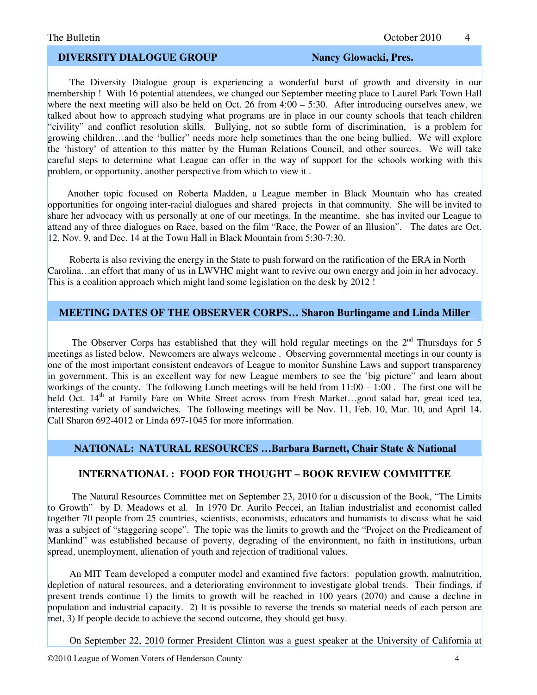### **DIVERSITY DIALOGUE GROUP Nancy Glowacki, Pres.**

 The Diversity Dialogue group is experiencing a wonderful burst of growth and diversity in our membership ! With 16 potential attendees, we changed our September meeting place to Laurel Park Town Hall where the next meeting will also be held on Oct. 26 from  $4:00 - 5:30$ . After introducing ourselves anew, we talked about how to approach studying what programs are in place in our county schools that teach children "civility" and conflict resolution skills. Bullying, not so subtle form of discrimination, is a problem for growing children…and the 'bullier" needs more help sometimes than the one being bullied. We will explore the 'history' of attention to this matter by the Human Relations Council, and other sources. We will take careful steps to determine what League can offer in the way of support for the schools working with this problem, or opportunity, another perspective from which to view it .

 Another topic focused on Roberta Madden, a League member in Black Mountain who has created opportunities for ongoing inter-racial dialogues and shared projects in that community. She will be invited to share her advocacy with us personally at one of our meetings. In the meantime, she has invited our League to attend any of three dialogues on Race, based on the film "Race, the Power of an Illusion". The dates are Oct. 12, Nov. 9, and Dec. 14 at the Town Hall in Black Mountain from 5:30-7:30.

 Roberta is also reviving the energy in the State to push forward on the ratification of the ERA in North Carolina…an effort that many of us in LWVHC might want to revive our own energy and join in her advocacy. This is a coalition approach which might land some legislation on the desk by 2012 !

### **MEETING DATES OF THE OBSERVER CORPS… Sharon Burlingame and Linda Miller**

The Observer Corps has established that they will hold regular meetings on the  $2<sup>nd</sup>$  Thursdays for 5 meetings as listed below. Newcomers are always welcome . Observing governmental meetings in our county is one of the most important consistent endeavors of League to monitor Sunshine Laws and support transparency in government. This is an excellent way for new League members to see the 'big picture" and learn about workings of the county. The following Lunch meetings will be held from  $11:00 - 1:00$ . The first one will be held Oct. 14<sup>th</sup> at Family Fare on White Street across from Fresh Market...good salad bar, great iced tea, interesting variety of sandwiches. The following meetings will be Nov. 11, Feb. 10, Mar. 10, and April 14. Call Sharon 692-4012 or Linda 697-1045 for more information.

### **NATIONAL: NATURAL RESOURCES …Barbara Barnett, Chair State & National**

## **INTERNATIONAL : FOOD FOR THOUGHT – BOOK REVIEW COMMITTEE**

 The Natural Resources Committee met on September 23, 2010 for a discussion of the Book, "The Limits to Growth" by D. Meadows et al. In 1970 Dr. Aurilo Peccei, an Italian industrialist and economist called together 70 people from 25 countries, scientists, economists, educators and humanists to discuss what he said was a subject of "staggering scope". The topic was the limits to growth and the "Project on the Predicament of Mankind" was established because of poverty, degrading of the environment, no faith in institutions, urban spread, unemployment, alienation of youth and rejection of traditional values.

 An MIT Team developed a computer model and examined five factors: population growth, malnutrition, depletion of natural resources, and a deteriorating environment to investigate global trends. Their findings, if present trends continue 1) the limits to growth will be reached in 100 years (2070) and cause a decline in population and industrial capacity. 2) It is possible to reverse the trends so material needs of each person are met, 3) If people decide to achieve the second outcome, they should get busy.

On September 22, 2010 former President Clinton was a guest speaker at the University of California at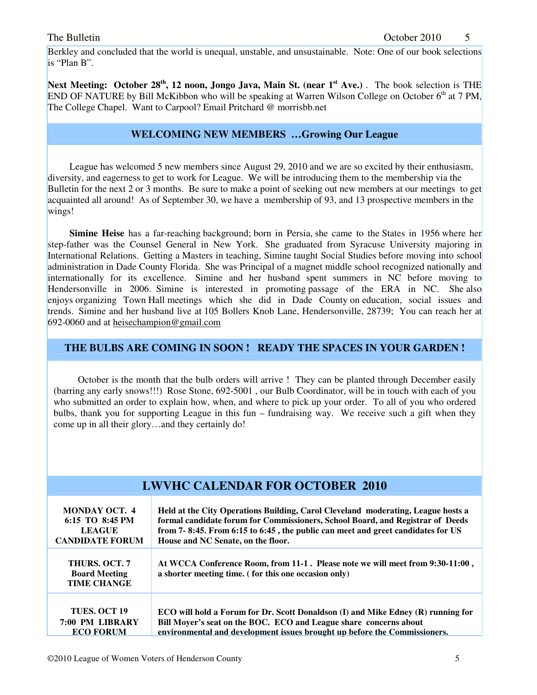Berkley and concluded that the world is unequal, unstable, and unsustainable. Note: One of our book selections is "Plan B".

**Next Meeting: October 28<sup>th</sup>, 12 noon, Jongo Java, Main St. (near 1<sup>st</sup> Ave.) . The book selection is THE** END OF NATURE by Bill McKibbon who will be speaking at Warren Wilson College on October  $6<sup>th</sup>$  at 7 PM, The College Chapel. Want to Carpool? Email Pritchard @ morrisbb.net

### **WELCOMING NEW MEMBERS …Growing Our League**

 League has welcomed 5 new members since August 29, 2010 and we are so excited by their enthusiasm, diversity, and eagerness to get to work for League. We will be introducing them to the membership via the Bulletin for the next 2 or 3 months. Be sure to make a point of seeking out new members at our meetings to get acquainted all around! As of September 30, we have a membership of 93, and 13 prospective members in the wings!

 **Simine Heise** has a far-reaching background; born in Persia, she came to the States in 1956 where her step-father was the Counsel General in New York. She graduated from Syracuse University majoring in International Relations. Getting a Masters in teaching, Simine taught Social Studies before moving into school administration in Dade County Florida. She was Principal of a magnet middle school recognized nationally and internationally for its excellence. Simine and her husband spent summers in NC before moving to Hendersonville in 2006. Simine is interested in promoting passage of the ERA in NC. She also enjoys organizing Town Hall meetings which she did in Dade County on education, social issues and trends. Simine and her husband live at 105 Bollers Knob Lane, Hendersonville, 28739; You can reach her at 692-0060 and at heisechampion@gmail.com

## **THE BULBS ARE COMING IN SOON ! READY THE SPACES IN YOUR GARDEN !**

 October is the month that the bulb orders will arrive ! They can be planted through December easily (barring any early snows!!!) Rose Stone, 692-5001 , our Bulb Coordinator, will be in touch with each of you who submitted an order to explain how, when, and where to pick up your order. To all of you who ordered bulbs, thank you for supporting League in this fun – fundraising way. We receive such a gift when they come up in all their glory…and they certainly do!

| <b>LWVHC CALENDAR FOR OCTOBER 2010</b>                                             |                                                                                                                                                                                                                                                                                             |  |
|------------------------------------------------------------------------------------|---------------------------------------------------------------------------------------------------------------------------------------------------------------------------------------------------------------------------------------------------------------------------------------------|--|
| <b>MONDAY OCT. 4</b><br>6:15 TO 8:45 PM<br><b>LEAGUE</b><br><b>CANDIDATE FORUM</b> | Held at the City Operations Building, Carol Cleveland moderating, League hosts a<br>formal candidate forum for Commissioners, School Board, and Registrar of Deeds<br>from 7-8:45. From 6:15 to 6:45, the public can meet and greet candidates for US<br>House and NC Senate, on the floor. |  |
| <b>THURS, OCT. 7</b><br><b>Board Meeting</b><br><b>TIME CHANGE</b>                 | At WCCA Conference Room, from 11-1. Please note we will meet from 9:30-11:00,<br>a shorter meeting time. (for this one occasion only)                                                                                                                                                       |  |
| <b>TUES. OCT 19</b><br>7:00 PM LIBRARY<br><b>ECO FORUM</b>                         | <b>ECO</b> will hold a Forum for Dr. Scott Donaldson (I) and Mike Edney (R) running for<br>Bill Moyer's seat on the BOC. ECO and League share concerns about<br>environmental and development issues brought up before the Commissioners.                                                   |  |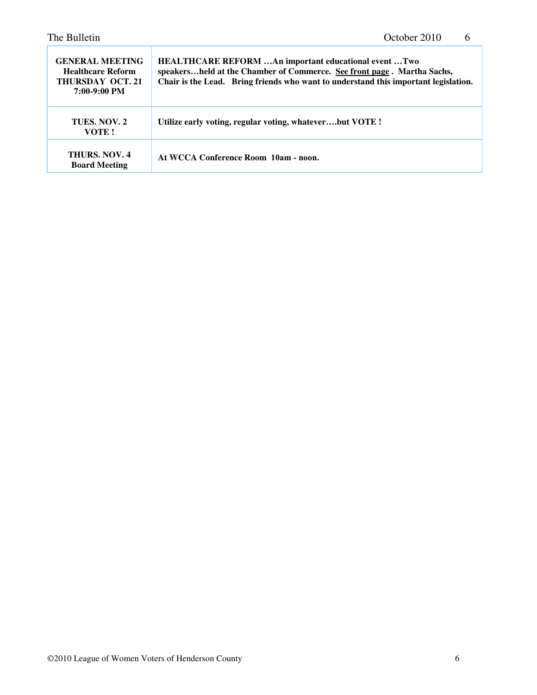| <b>GENERAL MEETING</b><br><b>Healthcare Reform</b><br><b>THURSDAY OCT. 21</b><br>7:00-9:00 PM | HEALTHCARE REFORM An important educational event Two<br>speakersheld at the Chamber of Commerce. See front page. Martha Sachs,<br>Chair is the Lead. Bring friends who want to understand this important legislation. |
|-----------------------------------------------------------------------------------------------|-----------------------------------------------------------------------------------------------------------------------------------------------------------------------------------------------------------------------|
| TUES, NOV. 2<br>VOTE!                                                                         | Utilize early voting, regular voting, whateverbut VOTE !                                                                                                                                                              |
| <b>THURS, NOV. 4</b><br><b>Board Meeting</b>                                                  | At WCCA Conference Room 10am - noon.                                                                                                                                                                                  |